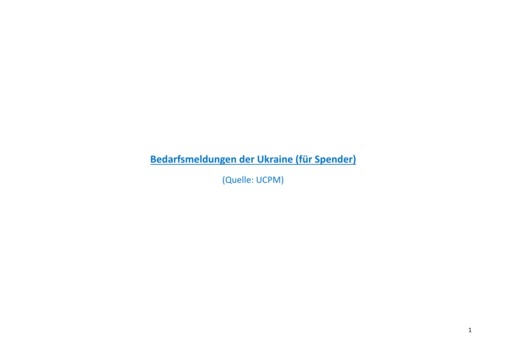**Bedarfsmeldungen der Ukraine (für Spender)**

(Quelle: UCPM)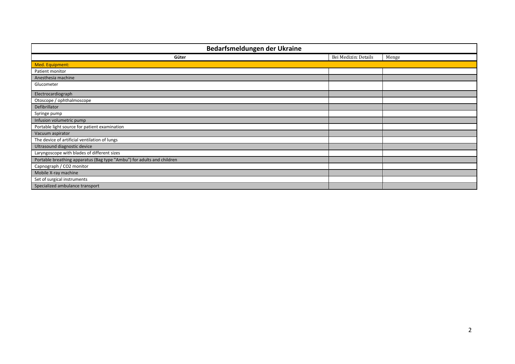| Bedarfsmeldungen der Ukraine                                           |                      |       |
|------------------------------------------------------------------------|----------------------|-------|
| Güter                                                                  | Bei Medizin: Details | Menge |
| Med. Equipment:                                                        |                      |       |
| Patient monitor                                                        |                      |       |
| Anesthesia machine                                                     |                      |       |
| Glucometer                                                             |                      |       |
| Electrocardiograph                                                     |                      |       |
| Otoscope / ophthalmoscope                                              |                      |       |
| Defibrillator                                                          |                      |       |
| Syringe pump                                                           |                      |       |
| Infusion volumetric pump                                               |                      |       |
| Portable light source for patient examination                          |                      |       |
| Vacuum aspirator                                                       |                      |       |
| The device of artificial ventilation of lungs                          |                      |       |
| Ultrasound diagnostic device                                           |                      |       |
| Laryngoscope with blades of different sizes                            |                      |       |
| Portable breathing apparatus (Bag type "Ambu") for adults and children |                      |       |
| Capnograph / CO2 monitor                                               |                      |       |
| Mobile X-ray machine                                                   |                      |       |
| Set of surgical instruments                                            |                      |       |
| Specialized ambulance transport                                        |                      |       |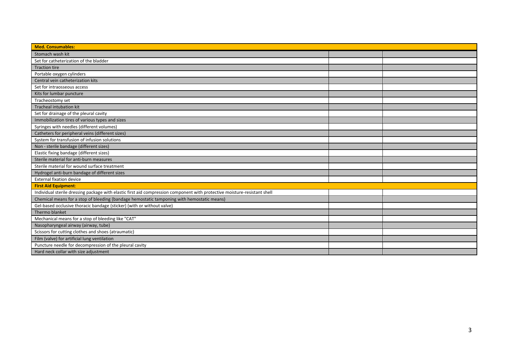| <b>Med. Consumables:</b>                                                                                                  |  |
|---------------------------------------------------------------------------------------------------------------------------|--|
| Stomach wash kit                                                                                                          |  |
| Set for catheterization of the bladder                                                                                    |  |
| <b>Traction tire</b>                                                                                                      |  |
| Portable oxygen cylinders                                                                                                 |  |
| Central vein catheterization kits                                                                                         |  |
| Set for intraosseous access                                                                                               |  |
| Kits for lumbar puncture                                                                                                  |  |
| Tracheostomy set                                                                                                          |  |
| Tracheal intubation kit                                                                                                   |  |
| Set for drainage of the pleural cavity                                                                                    |  |
| Immobilization tires of various types and sizes                                                                           |  |
| Syringes with needles (different volumes)                                                                                 |  |
| Catheters for peripheral veins (different sizes)                                                                          |  |
| System for transfusion of infusion solutions                                                                              |  |
| Non - sterile bandage (different sizes)                                                                                   |  |
| Elastic fixing bandage (different sizes)                                                                                  |  |
| Sterile material for anti-burn measures                                                                                   |  |
| Sterile material for wound surface treatment                                                                              |  |
| Hydrogel anti-burn bandage of different sizes                                                                             |  |
| <b>External fixation device</b>                                                                                           |  |
| <b>First Aid Equipment:</b>                                                                                               |  |
| Individual sterile dressing package with elastic first aid compression component with protective moisture-resistant shell |  |
| Chemical means for a stop of bleeding (bandage hemostatic tamponing with hemostatic means)                                |  |
| Gel-based occlusive thoracic bandage (sticker) (with or without valve)                                                    |  |
| Thermo blanket                                                                                                            |  |
| Mechanical means for a stop of bleeding like "CAT"                                                                        |  |
| Nasopharyngeal airway (airway, tube)                                                                                      |  |
| Scissors for cutting clothes and shoes (atraumatic)                                                                       |  |
| Film (valve) for artificial lung ventilation                                                                              |  |
| Puncture needle for decompression of the pleural cavity                                                                   |  |
| Hard neck collar with size adjustment                                                                                     |  |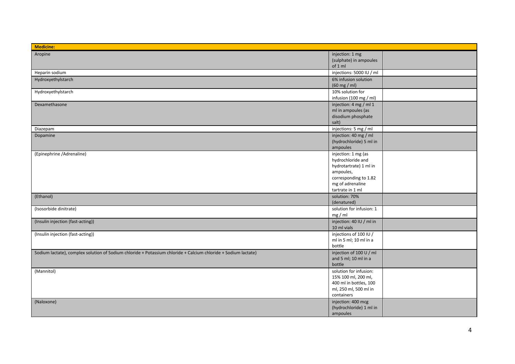| <b>Medicine:</b>                                                                                               |                                                                                                                                                  |  |
|----------------------------------------------------------------------------------------------------------------|--------------------------------------------------------------------------------------------------------------------------------------------------|--|
| Aropine                                                                                                        | injection: 1 mg<br>(sulphate) in ampoules<br>of 1 ml                                                                                             |  |
| Heparin sodium                                                                                                 | injections: 5000 IU / ml                                                                                                                         |  |
| Hydroxyethylstarch                                                                                             | 6% infusion solution<br>$(60 \text{ mg} / \text{ml})$                                                                                            |  |
| Hydroxyethylstarch                                                                                             | 10% solution for<br>infusion (100 mg / ml)                                                                                                       |  |
| Dexamethasone                                                                                                  | injection: 4 mg / ml 1<br>ml in ampoules (as<br>disodium phosphate<br>salt)                                                                      |  |
| Diazepam                                                                                                       | injections: 5 mg / ml                                                                                                                            |  |
| Dopamine                                                                                                       | injection: 40 mg / ml<br>(hydrochloride) 5 ml in<br>ampoules                                                                                     |  |
| (Epinephrine /Adrenaline)                                                                                      | injection: 1 mg (as<br>hydrochloride and<br>hydrotartrate) 1 ml in<br>ampoules,<br>corresponding to 1.82<br>mg of adrenaline<br>tartrate in 1 ml |  |
| (Ethanol)                                                                                                      | solution: 70%<br>(denatured)                                                                                                                     |  |
| (Isosorbide dinitrate)                                                                                         | solution for infusion: 1<br>$mg$ / ml                                                                                                            |  |
| (Insulin injection (fast-acting))                                                                              | injection: 40 IU / ml in<br>10 ml vials                                                                                                          |  |
| (Insulin injection (fast-acting))                                                                              | injections of 100 IU /<br>ml in 5 ml; 10 ml in a<br>bottle                                                                                       |  |
| Sodium lactate), complex solution of Sodium chloride + Potassium chloride + Calcium chloride + Sodium lactate) | injection of 100 U / ml<br>and 5 ml; 10 ml in a<br>bottle                                                                                        |  |
| (Mannitol)                                                                                                     | solution for infusion:<br>15% 100 ml, 200 ml,<br>400 ml in bottles, 100<br>ml, 250 ml, 500 ml in<br>containers                                   |  |
| (Naloxone)                                                                                                     | injection: 400 mcg<br>(hydrochloride) 1 ml in<br>ampoules                                                                                        |  |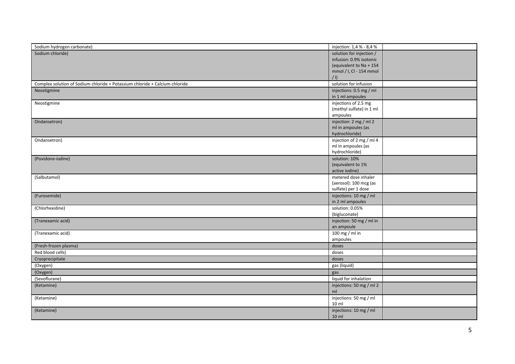| Sodium chloride)<br>solution for injection /<br>infusion: 0.9% isotonic<br>(equivalent to Na + 154<br>mmol / I, CI - 154 mmol<br>$\vert \vert$<br>solution for infusion<br>Complex solution of Sodium chloride + Potassium chloride + Calcium chloride<br>injections: 0.5 mg / ml<br>Neostigmine<br>in 1 ml ampoules<br>injections of 2.5 mg<br>Neostigmine<br>(methyl sulfate) in 1 ml<br>ampoules<br>Ondansetron)<br>injection: 2 mg / ml 2<br>ml in ampoules (as<br>hydrochloride)<br>injection of 2 mg / ml 4<br>Ondansetron)<br>ml in ampoules (as<br>hydrochloride)<br>(Povidone-iodine)<br>solution: 10%<br>(equivalent to 1%<br>active iodine)<br>metered dose inhaler<br>(Salbutamol)<br>(aerosol): 100 mcg (as<br>sulfate) per 1 dose<br>(Furosemide)<br>injections: 10 mg / ml<br>in 2 ml ampoules<br>solution: 0.05%<br>(Chlorhexidine)<br>(bigluconate)<br>injection: 50 mg / ml in<br>(Tranexamic acid)<br>an ampoule<br>$100$ mg / ml in<br>(Tranexamic acid)<br>ampoules<br>(Fresh-frozen plasma)<br>doses<br>Red blood cells)<br>doses<br>Cryoprecipitate<br>doses<br>(Oxygen)<br>gas (liquid)<br>(Oxygen)<br>gas<br>(Sevoflurane)<br>liquid for inhalation<br>(Ketamine)<br>injections: 50 mg / ml 2<br>ml<br>injections: 50 mg / ml<br>(Ketamine)<br>10 ml<br>injections: 10 mg / ml<br>(Ketamine)<br>10 ml |                            |                          |  |
|--------------------------------------------------------------------------------------------------------------------------------------------------------------------------------------------------------------------------------------------------------------------------------------------------------------------------------------------------------------------------------------------------------------------------------------------------------------------------------------------------------------------------------------------------------------------------------------------------------------------------------------------------------------------------------------------------------------------------------------------------------------------------------------------------------------------------------------------------------------------------------------------------------------------------------------------------------------------------------------------------------------------------------------------------------------------------------------------------------------------------------------------------------------------------------------------------------------------------------------------------------------------------------------------------------------------------------|----------------------------|--------------------------|--|
|                                                                                                                                                                                                                                                                                                                                                                                                                                                                                                                                                                                                                                                                                                                                                                                                                                                                                                                                                                                                                                                                                                                                                                                                                                                                                                                                | Sodium hydrogen carbonate) | injection: 1,4 % - 8,4 % |  |
|                                                                                                                                                                                                                                                                                                                                                                                                                                                                                                                                                                                                                                                                                                                                                                                                                                                                                                                                                                                                                                                                                                                                                                                                                                                                                                                                |                            |                          |  |
|                                                                                                                                                                                                                                                                                                                                                                                                                                                                                                                                                                                                                                                                                                                                                                                                                                                                                                                                                                                                                                                                                                                                                                                                                                                                                                                                |                            |                          |  |
|                                                                                                                                                                                                                                                                                                                                                                                                                                                                                                                                                                                                                                                                                                                                                                                                                                                                                                                                                                                                                                                                                                                                                                                                                                                                                                                                |                            |                          |  |
|                                                                                                                                                                                                                                                                                                                                                                                                                                                                                                                                                                                                                                                                                                                                                                                                                                                                                                                                                                                                                                                                                                                                                                                                                                                                                                                                |                            |                          |  |
|                                                                                                                                                                                                                                                                                                                                                                                                                                                                                                                                                                                                                                                                                                                                                                                                                                                                                                                                                                                                                                                                                                                                                                                                                                                                                                                                |                            |                          |  |
|                                                                                                                                                                                                                                                                                                                                                                                                                                                                                                                                                                                                                                                                                                                                                                                                                                                                                                                                                                                                                                                                                                                                                                                                                                                                                                                                |                            |                          |  |
|                                                                                                                                                                                                                                                                                                                                                                                                                                                                                                                                                                                                                                                                                                                                                                                                                                                                                                                                                                                                                                                                                                                                                                                                                                                                                                                                |                            |                          |  |
|                                                                                                                                                                                                                                                                                                                                                                                                                                                                                                                                                                                                                                                                                                                                                                                                                                                                                                                                                                                                                                                                                                                                                                                                                                                                                                                                |                            |                          |  |
|                                                                                                                                                                                                                                                                                                                                                                                                                                                                                                                                                                                                                                                                                                                                                                                                                                                                                                                                                                                                                                                                                                                                                                                                                                                                                                                                |                            |                          |  |
|                                                                                                                                                                                                                                                                                                                                                                                                                                                                                                                                                                                                                                                                                                                                                                                                                                                                                                                                                                                                                                                                                                                                                                                                                                                                                                                                |                            |                          |  |
|                                                                                                                                                                                                                                                                                                                                                                                                                                                                                                                                                                                                                                                                                                                                                                                                                                                                                                                                                                                                                                                                                                                                                                                                                                                                                                                                |                            |                          |  |
|                                                                                                                                                                                                                                                                                                                                                                                                                                                                                                                                                                                                                                                                                                                                                                                                                                                                                                                                                                                                                                                                                                                                                                                                                                                                                                                                |                            |                          |  |
|                                                                                                                                                                                                                                                                                                                                                                                                                                                                                                                                                                                                                                                                                                                                                                                                                                                                                                                                                                                                                                                                                                                                                                                                                                                                                                                                |                            |                          |  |
|                                                                                                                                                                                                                                                                                                                                                                                                                                                                                                                                                                                                                                                                                                                                                                                                                                                                                                                                                                                                                                                                                                                                                                                                                                                                                                                                |                            |                          |  |
|                                                                                                                                                                                                                                                                                                                                                                                                                                                                                                                                                                                                                                                                                                                                                                                                                                                                                                                                                                                                                                                                                                                                                                                                                                                                                                                                |                            |                          |  |
|                                                                                                                                                                                                                                                                                                                                                                                                                                                                                                                                                                                                                                                                                                                                                                                                                                                                                                                                                                                                                                                                                                                                                                                                                                                                                                                                |                            |                          |  |
|                                                                                                                                                                                                                                                                                                                                                                                                                                                                                                                                                                                                                                                                                                                                                                                                                                                                                                                                                                                                                                                                                                                                                                                                                                                                                                                                |                            |                          |  |
|                                                                                                                                                                                                                                                                                                                                                                                                                                                                                                                                                                                                                                                                                                                                                                                                                                                                                                                                                                                                                                                                                                                                                                                                                                                                                                                                |                            |                          |  |
|                                                                                                                                                                                                                                                                                                                                                                                                                                                                                                                                                                                                                                                                                                                                                                                                                                                                                                                                                                                                                                                                                                                                                                                                                                                                                                                                |                            |                          |  |
|                                                                                                                                                                                                                                                                                                                                                                                                                                                                                                                                                                                                                                                                                                                                                                                                                                                                                                                                                                                                                                                                                                                                                                                                                                                                                                                                |                            |                          |  |
|                                                                                                                                                                                                                                                                                                                                                                                                                                                                                                                                                                                                                                                                                                                                                                                                                                                                                                                                                                                                                                                                                                                                                                                                                                                                                                                                |                            |                          |  |
|                                                                                                                                                                                                                                                                                                                                                                                                                                                                                                                                                                                                                                                                                                                                                                                                                                                                                                                                                                                                                                                                                                                                                                                                                                                                                                                                |                            |                          |  |
|                                                                                                                                                                                                                                                                                                                                                                                                                                                                                                                                                                                                                                                                                                                                                                                                                                                                                                                                                                                                                                                                                                                                                                                                                                                                                                                                |                            |                          |  |
|                                                                                                                                                                                                                                                                                                                                                                                                                                                                                                                                                                                                                                                                                                                                                                                                                                                                                                                                                                                                                                                                                                                                                                                                                                                                                                                                |                            |                          |  |
|                                                                                                                                                                                                                                                                                                                                                                                                                                                                                                                                                                                                                                                                                                                                                                                                                                                                                                                                                                                                                                                                                                                                                                                                                                                                                                                                |                            |                          |  |
|                                                                                                                                                                                                                                                                                                                                                                                                                                                                                                                                                                                                                                                                                                                                                                                                                                                                                                                                                                                                                                                                                                                                                                                                                                                                                                                                |                            |                          |  |
|                                                                                                                                                                                                                                                                                                                                                                                                                                                                                                                                                                                                                                                                                                                                                                                                                                                                                                                                                                                                                                                                                                                                                                                                                                                                                                                                |                            |                          |  |
|                                                                                                                                                                                                                                                                                                                                                                                                                                                                                                                                                                                                                                                                                                                                                                                                                                                                                                                                                                                                                                                                                                                                                                                                                                                                                                                                |                            |                          |  |
|                                                                                                                                                                                                                                                                                                                                                                                                                                                                                                                                                                                                                                                                                                                                                                                                                                                                                                                                                                                                                                                                                                                                                                                                                                                                                                                                |                            |                          |  |
|                                                                                                                                                                                                                                                                                                                                                                                                                                                                                                                                                                                                                                                                                                                                                                                                                                                                                                                                                                                                                                                                                                                                                                                                                                                                                                                                |                            |                          |  |
|                                                                                                                                                                                                                                                                                                                                                                                                                                                                                                                                                                                                                                                                                                                                                                                                                                                                                                                                                                                                                                                                                                                                                                                                                                                                                                                                |                            |                          |  |
|                                                                                                                                                                                                                                                                                                                                                                                                                                                                                                                                                                                                                                                                                                                                                                                                                                                                                                                                                                                                                                                                                                                                                                                                                                                                                                                                |                            |                          |  |
|                                                                                                                                                                                                                                                                                                                                                                                                                                                                                                                                                                                                                                                                                                                                                                                                                                                                                                                                                                                                                                                                                                                                                                                                                                                                                                                                |                            |                          |  |
|                                                                                                                                                                                                                                                                                                                                                                                                                                                                                                                                                                                                                                                                                                                                                                                                                                                                                                                                                                                                                                                                                                                                                                                                                                                                                                                                |                            |                          |  |
|                                                                                                                                                                                                                                                                                                                                                                                                                                                                                                                                                                                                                                                                                                                                                                                                                                                                                                                                                                                                                                                                                                                                                                                                                                                                                                                                |                            |                          |  |
|                                                                                                                                                                                                                                                                                                                                                                                                                                                                                                                                                                                                                                                                                                                                                                                                                                                                                                                                                                                                                                                                                                                                                                                                                                                                                                                                |                            |                          |  |
|                                                                                                                                                                                                                                                                                                                                                                                                                                                                                                                                                                                                                                                                                                                                                                                                                                                                                                                                                                                                                                                                                                                                                                                                                                                                                                                                |                            |                          |  |
|                                                                                                                                                                                                                                                                                                                                                                                                                                                                                                                                                                                                                                                                                                                                                                                                                                                                                                                                                                                                                                                                                                                                                                                                                                                                                                                                |                            |                          |  |
|                                                                                                                                                                                                                                                                                                                                                                                                                                                                                                                                                                                                                                                                                                                                                                                                                                                                                                                                                                                                                                                                                                                                                                                                                                                                                                                                |                            |                          |  |
|                                                                                                                                                                                                                                                                                                                                                                                                                                                                                                                                                                                                                                                                                                                                                                                                                                                                                                                                                                                                                                                                                                                                                                                                                                                                                                                                |                            |                          |  |
|                                                                                                                                                                                                                                                                                                                                                                                                                                                                                                                                                                                                                                                                                                                                                                                                                                                                                                                                                                                                                                                                                                                                                                                                                                                                                                                                |                            |                          |  |
|                                                                                                                                                                                                                                                                                                                                                                                                                                                                                                                                                                                                                                                                                                                                                                                                                                                                                                                                                                                                                                                                                                                                                                                                                                                                                                                                |                            |                          |  |
|                                                                                                                                                                                                                                                                                                                                                                                                                                                                                                                                                                                                                                                                                                                                                                                                                                                                                                                                                                                                                                                                                                                                                                                                                                                                                                                                |                            |                          |  |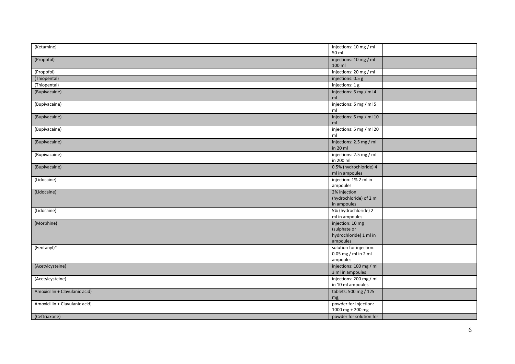| (Ketamine)                     | injections: 10 mg / ml   |
|--------------------------------|--------------------------|
|                                | 50 ml                    |
| (Propofol)                     | injections: 10 mg / ml   |
|                                | 100 ml                   |
| (Propofol)                     | injections: 20 mg / ml   |
| (Thiopental)                   | injections: 0.5 g        |
| (Thiopental)                   | injections: 1 g          |
| (Bupivacaine)                  | injections: 5 mg / ml 4  |
|                                | ml                       |
| (Bupivacaine)                  | injections: 5 mg / ml 5  |
|                                | ml                       |
| (Bupivacaine)                  | injections: 5 mg / ml 10 |
|                                | ml                       |
| (Bupivacaine)                  | injections: 5 mg / ml 20 |
|                                | ml                       |
| (Bupivacaine)                  | injections: 2.5 mg / ml  |
|                                | in 20 ml                 |
| (Bupivacaine)                  | injections: 2.5 mg / ml  |
|                                | in 200 ml                |
| (Bupivacaine)                  | 0.5% (hydrochloride) 4   |
|                                | ml in ampoules           |
| (Lidocaine)                    | injection: 1% 2 ml in    |
|                                | ampoules                 |
| (Lidocaine)                    | 2% injection             |
|                                | (hydrochloride) of 2 ml  |
|                                | in ampoules              |
| (Lidocaine)                    | 5% (hydrochloride) 2     |
|                                | ml in ampoules           |
| (Morphine)                     | injection: 10 mg         |
|                                | (sulphate or             |
|                                | hydrochloride) 1 ml in   |
|                                | ampoules                 |
| (Fentanyl)*                    | solution for injection:  |
|                                | 0.05 mg / ml in 2 ml     |
|                                | ampoules                 |
| (Acetylcysteine)               | injections: 100 mg / ml  |
|                                | 3 ml in ampoules         |
| (Acetylcysteine)               | injections: 200 mg / ml  |
|                                | in 10 ml ampoules        |
| Amoxicillin + Clavulanic acid) | tablets: 500 mg / 125    |
|                                | mg;                      |
| Amoxicillin + Clavulanic acid) | powder for injection:    |
|                                | $1000$ mg + 200 mg       |
| (Ceftriaxone)                  | powder for solution for  |
|                                |                          |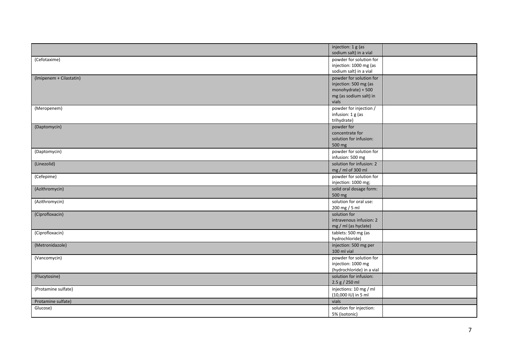|                         | injection: 1 g (as<br>sodium salt) in a vial |  |
|-------------------------|----------------------------------------------|--|
| (Cefotaxime)            | powder for solution for                      |  |
|                         | injection: 1000 mg (as                       |  |
|                         | sodium salt) in a vial                       |  |
| (Imipenem + Cilastatin) | powder for solution for                      |  |
|                         | injection: 500 mg (as                        |  |
|                         | monohydrate) + 500                           |  |
|                         | mg (as sodium salt) in                       |  |
|                         | vials                                        |  |
| (Meropenem)             | powder for injection /                       |  |
|                         | infusion: 1 g (as                            |  |
|                         | trihydrate)                                  |  |
| (Daptomycin)            | powder for                                   |  |
|                         | concentrate for                              |  |
|                         | solution for infusion:                       |  |
|                         | 500 mg                                       |  |
| (Daptomycin)            | powder for solution for                      |  |
|                         | infusion: 500 mg                             |  |
| (Linezolid)             | solution for infusion: 2                     |  |
|                         | mg / ml of 300 ml                            |  |
| (Cefepime)              | powder for solution for                      |  |
|                         | injection: 1000 mg;                          |  |
| (Azithromycin)          | solid oral dosage form:                      |  |
|                         | 500 mg                                       |  |
| (Azithromycin)          | solution for oral use:                       |  |
|                         | 200 mg / 5 ml                                |  |
| (Ciprofloxacin)         | solution for                                 |  |
|                         | intravenous infusion: 2                      |  |
|                         | mg / ml (as hyclate)                         |  |
| (Ciprofloxacin)         | tablets: 500 mg (as                          |  |
|                         | hydrochloride)                               |  |
| (Metronidazole)         | injection: 500 mg per                        |  |
|                         | 100 ml vial                                  |  |
| (Vancomycin)            | powder for solution for                      |  |
|                         | injection: 1000 mg                           |  |
|                         | (hydrochloride) in a vial                    |  |
| (Flucytosine)           | solution for infusion:<br>2.5 g / 250 ml     |  |
|                         | injections: 10 mg / ml                       |  |
| (Protamine sulfate)     | (10,000 IU) in 5 ml                          |  |
|                         |                                              |  |
| Protamine sulfate)      | vials                                        |  |
| Glucose)                | solution for injection:<br>5% (isotonic)     |  |
|                         |                                              |  |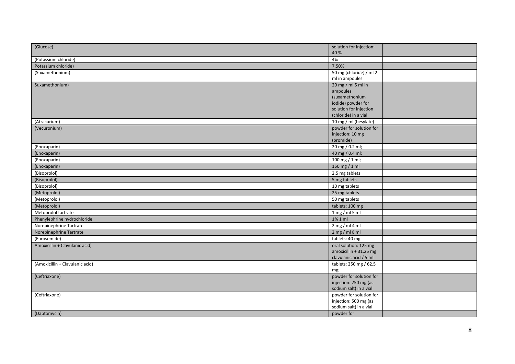| (Glucose)                       | solution for injection:                         |  |
|---------------------------------|-------------------------------------------------|--|
| (Potassium chloride)            | 40 %<br>4%                                      |  |
| Potassium chloride)             | 7.50%                                           |  |
| (Suxamethonium)                 | 50 mg (chloride) / ml 2                         |  |
|                                 | ml in ampoules                                  |  |
| Suxamethonium)                  | $20 \text{ mg}$ / ml 5 ml in                    |  |
|                                 | ampoules                                        |  |
|                                 | (suxamethonium                                  |  |
|                                 | iodide) powder for                              |  |
|                                 | solution for injection                          |  |
|                                 | (chloride) in a vial                            |  |
| (Atracurium)                    | 10 mg / ml (besylate)                           |  |
| (Vecuronium)                    | powder for solution for                         |  |
|                                 | injection: 10 mg                                |  |
|                                 | (bromide)                                       |  |
| (Enoxaparin)                    | 20 mg / 0.2 ml;                                 |  |
| (Enoxaparin)                    | 40 mg / 0.4 ml;                                 |  |
| (Enoxaparin)                    | 100 mg / 1 ml;                                  |  |
| (Enoxaparin)                    | 150 mg / 1 ml                                   |  |
| (Bisoprolol)                    | 2.5 mg tablets                                  |  |
| (Bisoprolol)                    | 5 mg tablets                                    |  |
| (Bisoprolol)                    | 10 mg tablets                                   |  |
| (Metoprolol)                    | 25 mg tablets                                   |  |
| (Metoprolol)                    | 50 mg tablets                                   |  |
| (Metoprolol)                    | tablets: 100 mg                                 |  |
| Metoprolol tartrate             | $1$ mg / ml 5 ml                                |  |
| Phenylephrine hydrochloride     | 1% 1 ml                                         |  |
| Norepinephrine Tartrate         | $2$ mg / ml 4 ml                                |  |
| Norepinephrine Tartrate         | $2$ mg / ml 8 ml                                |  |
| (Furosemide)                    | tablets: 40 mg                                  |  |
| Amoxicillin + Clavulanic acid)  | oral solution: 125 mg                           |  |
|                                 | amoxicillin + 31.25 mg                          |  |
|                                 | clavulanic acid / 5 ml                          |  |
| (Amoxicillin + Clavulanic acid) | tablets: 250 mg / 62.5                          |  |
|                                 | mg;                                             |  |
| (Ceftriaxone)                   | powder for solution for                         |  |
|                                 | injection: 250 mg (as                           |  |
|                                 | sodium salt) in a vial                          |  |
| (Ceftriaxone)                   | powder for solution for                         |  |
|                                 | injection: 500 mg (as<br>sodium salt) in a vial |  |
| (Daptomycin)                    | powder for                                      |  |
|                                 |                                                 |  |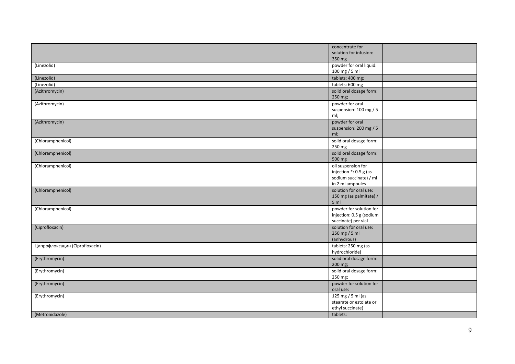|                                | concentrate for          |  |
|--------------------------------|--------------------------|--|
|                                | solution for infusion:   |  |
|                                | 350 mg                   |  |
| (Linezolid)                    | powder for oral liquid:  |  |
|                                | 100 mg / 5 ml            |  |
| (Linezolid)                    | tablets: 400 mg;         |  |
| (Linezolid)                    | tablets: 600 mg          |  |
| (Azithromycin)                 | solid oral dosage form:  |  |
|                                | 250 mg;                  |  |
| (Azithromycin)                 | powder for oral          |  |
|                                | suspension: 100 mg / 5   |  |
|                                | ml;                      |  |
| (Azithromycin)                 | powder for oral          |  |
|                                | suspension: 200 mg / 5   |  |
|                                | ml;                      |  |
| (Chloramphenicol)              | solid oral dosage form:  |  |
|                                | 250 mg                   |  |
| (Chloramphenicol)              | solid oral dosage form:  |  |
|                                | 500 mg                   |  |
| (Chloramphenicol)              | oil suspension for       |  |
|                                | injection *: 0.5 g (as   |  |
|                                | sodium succinate) / ml   |  |
|                                | in 2 ml ampoules         |  |
| (Chloramphenicol)              | solution for oral use:   |  |
|                                | 150 mg (as palmitate) /  |  |
|                                | 5 <sub>m</sub>           |  |
| (Chloramphenicol)              | powder for solution for  |  |
|                                | injection: 0.5 g (sodium |  |
|                                | succinate) per vial      |  |
| (Ciprofloxacin)                | solution for oral use:   |  |
|                                | 250 mg / 5 ml            |  |
|                                | (anhydrous)              |  |
| Ципрофлоксацин (Ciprofloxacin) | tablets: 250 mg (as      |  |
|                                | hydrochloride)           |  |
| (Erythromycin)                 | solid oral dosage form:  |  |
|                                | 200 mg;                  |  |
| (Erythromycin)                 | solid oral dosage form:  |  |
|                                | 250 mg;                  |  |
| (Erythromycin)                 | powder for solution for  |  |
|                                | oral use:                |  |
| (Erythromycin)                 | 125 mg / 5 ml (as        |  |
|                                | stearate or estolate or  |  |
|                                | ethyl succinate)         |  |
| (Metronidazole)                | tablets:                 |  |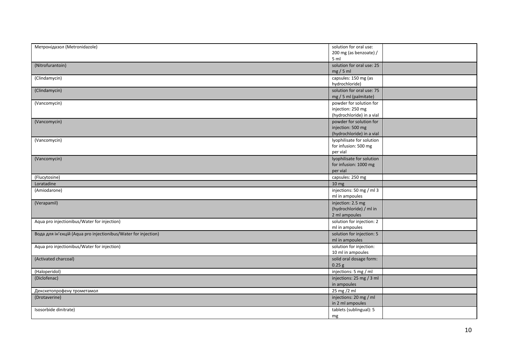| Метронідазол (Metronidazole)                                   | solution for oral use:        |  |
|----------------------------------------------------------------|-------------------------------|--|
|                                                                | 200 mg (as benzoate) /        |  |
|                                                                | 5 <sub>m</sub>                |  |
| (Nitrofurantoin)                                               | solution for oral use: 25     |  |
|                                                                | $mg/5$ ml                     |  |
| (Clindamycin)                                                  | capsules: 150 mg (as          |  |
|                                                                | hydrochloride)                |  |
| (Clindamycin)                                                  | solution for oral use: 75     |  |
|                                                                | mg / 5 ml (palmitate)         |  |
| (Vancomycin)                                                   | powder for solution for       |  |
|                                                                | injection: 250 mg             |  |
|                                                                | (hydrochloride) in a vial     |  |
| (Vancomycin)                                                   | powder for solution for       |  |
|                                                                | injection: 500 mg             |  |
|                                                                | (hydrochloride) in a vial     |  |
| (Vancomycin)                                                   | lyophilisate for solution     |  |
|                                                                | for infusion: 500 mg          |  |
|                                                                | per vial                      |  |
| (Vancomycin)                                                   | lyophilisate for solution     |  |
|                                                                | for infusion: 1000 mg         |  |
|                                                                | per vial                      |  |
| (Flucytosine)                                                  | capsules: 250 mg              |  |
| Loratadine                                                     | 10 <sub>mg</sub>              |  |
| (Amiodarone)                                                   | injections: 50 mg / ml 3      |  |
|                                                                | ml in ampoules                |  |
| (Verapamil)                                                    | injection: 2.5 mg             |  |
|                                                                | (hydrochloride) / ml in       |  |
|                                                                | 2 ml ampoules                 |  |
| Aqua pro injectionibus/Water for injection)                    | solution for injection: 2     |  |
|                                                                | ml in ampoules                |  |
| Вода для ін'єкцій (Aqua pro injectionibus/Water for injection) | solution for injection: 5     |  |
|                                                                | ml in ampoules                |  |
| Aqua pro injectionibus/Water for injection)                    | solution for injection:       |  |
|                                                                | 10 ml in ampoules             |  |
| (Activated charcoal)                                           | solid oral dosage form:       |  |
|                                                                | $0.25$ g                      |  |
| (Haloperidol)                                                  | injections: 5 mg / ml         |  |
| (Diclofenac)                                                   | injections: 25 mg / 3 ml      |  |
|                                                                |                               |  |
|                                                                | in ampoules                   |  |
|                                                                |                               |  |
| Декскетопрофену трометамол                                     | 25 mg /2 ml                   |  |
| (Drotaverine)                                                  | injections: 20 mg / ml        |  |
|                                                                | in 2 ml ampoules              |  |
| Isosorbide dinitrate)                                          | tablets (sublingual): 5<br>mg |  |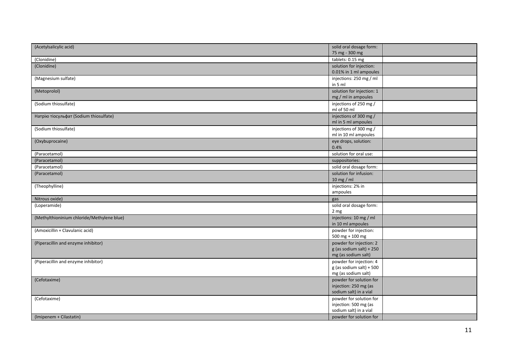| (Acetylsalicylic acid)                     | solid oral dosage form:    |  |
|--------------------------------------------|----------------------------|--|
|                                            | 75 mg - 300 mg             |  |
| (Clonidine)                                | tablets: 0.15 mg           |  |
| (Clonidine)                                | solution for injection:    |  |
|                                            | 0.01% in 1 ml ampoules     |  |
| (Magnesium sulfate)                        | injections: 250 mg / ml    |  |
|                                            | in 5 ml                    |  |
| (Metoprolol)                               | solution for injection: 1  |  |
|                                            | mg / ml in ampoules        |  |
| (Sodium thiosulfate)                       | injections of 250 mg /     |  |
|                                            | ml of 50 ml                |  |
| Натрію тіосульфат (Sodium thiosulfate)     | injections of 300 mg /     |  |
|                                            | ml in 5 ml ampoules        |  |
| (Sodium thiosulfate)                       | injections of 300 mg /     |  |
|                                            | ml in 10 ml ampoules       |  |
| (Oxybuprocaine)                            | eye drops, solution:       |  |
|                                            | 0.4%                       |  |
| (Paracetamol)                              | solution for oral use:     |  |
| (Paracetamol)                              | suppositories:             |  |
| (Paracetamol)                              | solid oral dosage form:    |  |
|                                            |                            |  |
| (Paracetamol)                              | solution for infusion:     |  |
|                                            | 10 mg / ml                 |  |
| (Theophylline)                             | injections: 2% in          |  |
|                                            | ampoules                   |  |
| Nitrous oxide)                             | gas                        |  |
| (Loperamide)                               | solid oral dosage form:    |  |
|                                            | 2 <sub>mg</sub>            |  |
| (Methylthioninium chloride/Methylene blue) | injections: 10 mg / ml     |  |
|                                            | in 10 ml ampoules          |  |
| (Amoxicillin + Clavulanic acid)            | powder for injection:      |  |
|                                            | 500 mg + 100 mg            |  |
| (Piperacillin and enzyme inhibitor)        | powder for injection: 2    |  |
|                                            | $g$ (as sodium salt) + 250 |  |
|                                            | mg (as sodium salt)        |  |
| (Piperacillin and enzyme inhibitor)        | powder for injection: 4    |  |
|                                            | $g$ (as sodium salt) + 500 |  |
|                                            | mg (as sodium salt)        |  |
| (Cefotaxime)                               | powder for solution for    |  |
|                                            | injection: 250 mg (as      |  |
|                                            | sodium salt) in a vial     |  |
| (Cefotaxime)                               | powder for solution for    |  |
|                                            | injection: 500 mg (as      |  |
|                                            | sodium salt) in a vial     |  |
| (Imipenem + Cilastatin)                    | powder for solution for    |  |
|                                            |                            |  |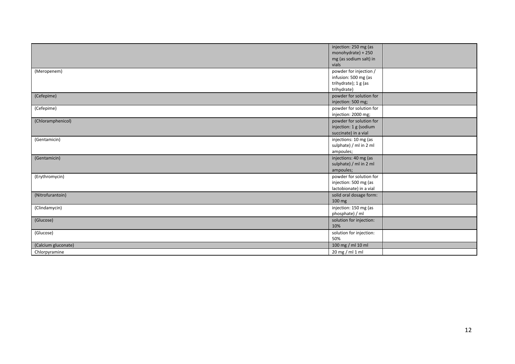| injection: 250 mg (as<br>monohydrate) + 250<br>mg (as sodium salt) in<br>vials<br>powder for injection /<br>(Meropenem)<br>infusion: 500 mg (as<br>trihydrate); 1 g (as<br>trihydrate)<br>powder for solution for<br>(Cefepime)<br>injection: 500 mg;<br>powder for solution for<br>(Cefepime)<br>injection: 2000 mg;<br>(Chloramphenicol)<br>powder for solution for<br>injection: 1 g (sodium<br>succinate) in a vial<br>injections: 10 mg (as<br>(Gentamicin)<br>sulphate) / ml in 2 ml<br>ampoules;<br>injections: 40 mg (as<br>(Gentamicin)<br>sulphate) / ml in 2 ml<br>ampoules;<br>powder for solution for<br>(Erythromycin)<br>injection: 500 mg (as<br>lactobionate) in a vial<br>(Nitrofurantoin)<br>solid oral dosage form:<br>100 mg<br>injection: 150 mg (as<br>(Clindamycin)<br>phosphate) / ml<br>solution for injection:<br>(Glucose)<br>10% |  |  |
|---------------------------------------------------------------------------------------------------------------------------------------------------------------------------------------------------------------------------------------------------------------------------------------------------------------------------------------------------------------------------------------------------------------------------------------------------------------------------------------------------------------------------------------------------------------------------------------------------------------------------------------------------------------------------------------------------------------------------------------------------------------------------------------------------------------------------------------------------------------|--|--|
|                                                                                                                                                                                                                                                                                                                                                                                                                                                                                                                                                                                                                                                                                                                                                                                                                                                               |  |  |
|                                                                                                                                                                                                                                                                                                                                                                                                                                                                                                                                                                                                                                                                                                                                                                                                                                                               |  |  |
|                                                                                                                                                                                                                                                                                                                                                                                                                                                                                                                                                                                                                                                                                                                                                                                                                                                               |  |  |
|                                                                                                                                                                                                                                                                                                                                                                                                                                                                                                                                                                                                                                                                                                                                                                                                                                                               |  |  |
|                                                                                                                                                                                                                                                                                                                                                                                                                                                                                                                                                                                                                                                                                                                                                                                                                                                               |  |  |
|                                                                                                                                                                                                                                                                                                                                                                                                                                                                                                                                                                                                                                                                                                                                                                                                                                                               |  |  |
|                                                                                                                                                                                                                                                                                                                                                                                                                                                                                                                                                                                                                                                                                                                                                                                                                                                               |  |  |
|                                                                                                                                                                                                                                                                                                                                                                                                                                                                                                                                                                                                                                                                                                                                                                                                                                                               |  |  |
|                                                                                                                                                                                                                                                                                                                                                                                                                                                                                                                                                                                                                                                                                                                                                                                                                                                               |  |  |
|                                                                                                                                                                                                                                                                                                                                                                                                                                                                                                                                                                                                                                                                                                                                                                                                                                                               |  |  |
|                                                                                                                                                                                                                                                                                                                                                                                                                                                                                                                                                                                                                                                                                                                                                                                                                                                               |  |  |
|                                                                                                                                                                                                                                                                                                                                                                                                                                                                                                                                                                                                                                                                                                                                                                                                                                                               |  |  |
|                                                                                                                                                                                                                                                                                                                                                                                                                                                                                                                                                                                                                                                                                                                                                                                                                                                               |  |  |
|                                                                                                                                                                                                                                                                                                                                                                                                                                                                                                                                                                                                                                                                                                                                                                                                                                                               |  |  |
|                                                                                                                                                                                                                                                                                                                                                                                                                                                                                                                                                                                                                                                                                                                                                                                                                                                               |  |  |
|                                                                                                                                                                                                                                                                                                                                                                                                                                                                                                                                                                                                                                                                                                                                                                                                                                                               |  |  |
|                                                                                                                                                                                                                                                                                                                                                                                                                                                                                                                                                                                                                                                                                                                                                                                                                                                               |  |  |
|                                                                                                                                                                                                                                                                                                                                                                                                                                                                                                                                                                                                                                                                                                                                                                                                                                                               |  |  |
|                                                                                                                                                                                                                                                                                                                                                                                                                                                                                                                                                                                                                                                                                                                                                                                                                                                               |  |  |
|                                                                                                                                                                                                                                                                                                                                                                                                                                                                                                                                                                                                                                                                                                                                                                                                                                                               |  |  |
|                                                                                                                                                                                                                                                                                                                                                                                                                                                                                                                                                                                                                                                                                                                                                                                                                                                               |  |  |
|                                                                                                                                                                                                                                                                                                                                                                                                                                                                                                                                                                                                                                                                                                                                                                                                                                                               |  |  |
|                                                                                                                                                                                                                                                                                                                                                                                                                                                                                                                                                                                                                                                                                                                                                                                                                                                               |  |  |
|                                                                                                                                                                                                                                                                                                                                                                                                                                                                                                                                                                                                                                                                                                                                                                                                                                                               |  |  |
|                                                                                                                                                                                                                                                                                                                                                                                                                                                                                                                                                                                                                                                                                                                                                                                                                                                               |  |  |
|                                                                                                                                                                                                                                                                                                                                                                                                                                                                                                                                                                                                                                                                                                                                                                                                                                                               |  |  |
|                                                                                                                                                                                                                                                                                                                                                                                                                                                                                                                                                                                                                                                                                                                                                                                                                                                               |  |  |
|                                                                                                                                                                                                                                                                                                                                                                                                                                                                                                                                                                                                                                                                                                                                                                                                                                                               |  |  |
|                                                                                                                                                                                                                                                                                                                                                                                                                                                                                                                                                                                                                                                                                                                                                                                                                                                               |  |  |
|                                                                                                                                                                                                                                                                                                                                                                                                                                                                                                                                                                                                                                                                                                                                                                                                                                                               |  |  |
| solution for injection:<br>(Glucose)                                                                                                                                                                                                                                                                                                                                                                                                                                                                                                                                                                                                                                                                                                                                                                                                                          |  |  |
| 50%                                                                                                                                                                                                                                                                                                                                                                                                                                                                                                                                                                                                                                                                                                                                                                                                                                                           |  |  |
| 100 mg / ml 10 ml<br>(Calcium gluconate)                                                                                                                                                                                                                                                                                                                                                                                                                                                                                                                                                                                                                                                                                                                                                                                                                      |  |  |
| 20 mg / ml 1 ml<br>Chlorpyramine                                                                                                                                                                                                                                                                                                                                                                                                                                                                                                                                                                                                                                                                                                                                                                                                                              |  |  |